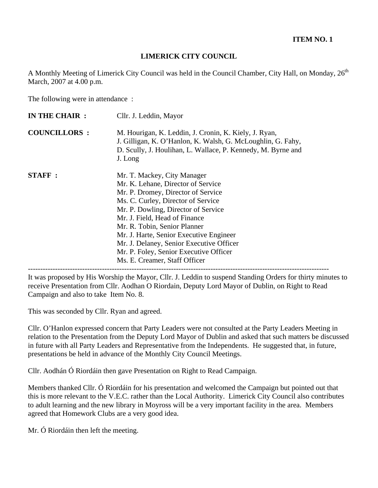### **LIMERICK CITY COUNCIL**

A Monthly Meeting of Limerick City Council was held in the Council Chamber, City Hall, on Monday, 26<sup>th</sup> March, 2007 at 4.00 p.m.

The following were in attendance :

| <b>COUNCILLORS:</b><br><b>STAFF:</b> | M. Hourigan, K. Leddin, J. Cronin, K. Kiely, J. Ryan,<br>J. Gilligan, K. O'Hanlon, K. Walsh, G. McLoughlin, G. Fahy,<br>D. Scully, J. Houlihan, L. Wallace, P. Kennedy, M. Byrne and                                                                                                                                                                                                   |
|--------------------------------------|----------------------------------------------------------------------------------------------------------------------------------------------------------------------------------------------------------------------------------------------------------------------------------------------------------------------------------------------------------------------------------------|
|                                      | J. Long                                                                                                                                                                                                                                                                                                                                                                                |
|                                      | Mr. T. Mackey, City Manager<br>Mr. K. Lehane, Director of Service<br>Mr. P. Dromey, Director of Service<br>Ms. C. Curley, Director of Service<br>Mr. P. Dowling, Director of Service<br>Mr. J. Field, Head of Finance<br>Mr. R. Tobin, Senior Planner<br>Mr. J. Harte, Senior Executive Engineer<br>Mr. J. Delaney, Senior Executive Officer<br>Mr. P. Foley, Senior Executive Officer |

It was proposed by His Worship the Mayor, Cllr. J. Leddin to suspend Standing Orders for thirty minutes to receive Presentation from Cllr. Aodhan O Riordain, Deputy Lord Mayor of Dublin, on Right to Read Campaign and also to take Item No. 8.

This was seconded by Cllr. Ryan and agreed.

Cllr. O'Hanlon expressed concern that Party Leaders were not consulted at the Party Leaders Meeting in relation to the Presentation from the Deputy Lord Mayor of Dublin and asked that such matters be discussed in future with all Party Leaders and Representative from the Independents. He suggested that, in future, presentations be held in advance of the Monthly City Council Meetings.

Cllr. Aodhán Ó Riordáin then gave Presentation on Right to Read Campaign.

Members thanked Cllr. Ó Riordáin for his presentation and welcomed the Campaign but pointed out that this is more relevant to the V.E.C. rather than the Local Authority. Limerick City Council also contributes to adult learning and the new library in Moyross will be a very important facility in the area. Members agreed that Homework Clubs are a very good idea.

Mr. Ó Riordáin then left the meeting.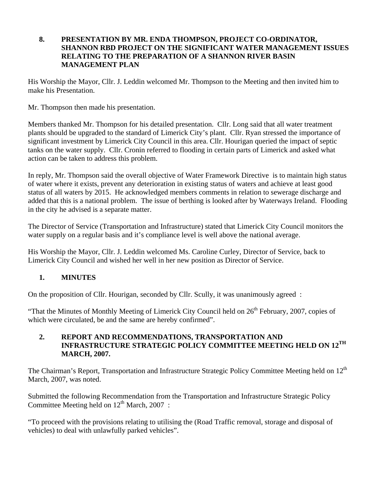#### **8. PRESENTATION BY MR. ENDA THOMPSON, PROJECT CO-ORDINATOR, SHANNON RBD PROJECT ON THE SIGNIFICANT WATER MANAGEMENT ISSUES RELATING TO THE PREPARATION OF A SHANNON RIVER BASIN MANAGEMENT PLAN**

His Worship the Mayor, Cllr. J. Leddin welcomed Mr. Thompson to the Meeting and then invited him to make his Presentation.

Mr. Thompson then made his presentation.

Members thanked Mr. Thompson for his detailed presentation. Cllr. Long said that all water treatment plants should be upgraded to the standard of Limerick City's plant. Cllr. Ryan stressed the importance of significant investment by Limerick City Council in this area. Cllr. Hourigan queried the impact of septic tanks on the water supply. Cllr. Cronin referred to flooding in certain parts of Limerick and asked what action can be taken to address this problem.

In reply, Mr. Thompson said the overall objective of Water Framework Directive is to maintain high status of water where it exists, prevent any deterioration in existing status of waters and achieve at least good status of all waters by 2015. He acknowledged members comments in relation to sewerage discharge and added that this is a national problem. The issue of berthing is looked after by Waterways Ireland. Flooding in the city he advised is a separate matter.

The Director of Service (Transportation and Infrastructure) stated that Limerick City Council monitors the water supply on a regular basis and it's compliance level is well above the national average.

His Worship the Mayor, Cllr. J. Leddin welcomed Ms. Caroline Curley, Director of Service, back to Limerick City Council and wished her well in her new position as Director of Service.

# **1. MINUTES**

On the proposition of Cllr. Hourigan, seconded by Cllr. Scully, it was unanimously agreed :

"That the Minutes of Monthly Meeting of Limerick City Council held on  $26<sup>th</sup>$  February, 2007, copies of which were circulated, be and the same are hereby confirmed".

#### **2. REPORT AND RECOMMENDATIONS, TRANSPORTATION AND INFRASTRUCTURE STRATEGIC POLICY COMMITTEE MEETING HELD ON 12TH MARCH, 2007.**

The Chairman's Report, Transportation and Infrastructure Strategic Policy Committee Meeting held on 12<sup>th</sup> March, 2007, was noted.

Submitted the following Recommendation from the Transportation and Infrastructure Strategic Policy Committee Meeting held on  $12^{th}$  March, 2007 :

"To proceed with the provisions relating to utilising the (Road Traffic removal, storage and disposal of vehicles) to deal with unlawfully parked vehicles".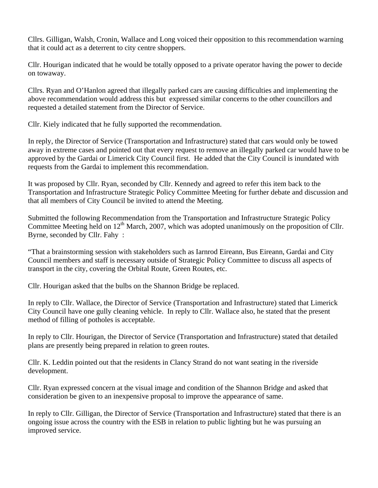Cllrs. Gilligan, Walsh, Cronin, Wallace and Long voiced their opposition to this recommendation warning that it could act as a deterrent to city centre shoppers.

Cllr. Hourigan indicated that he would be totally opposed to a private operator having the power to decide on towaway.

Cllrs. Ryan and O'Hanlon agreed that illegally parked cars are causing difficulties and implementing the above recommendation would address this but expressed similar concerns to the other councillors and requested a detailed statement from the Director of Service.

Cllr. Kiely indicated that he fully supported the recommendation.

In reply, the Director of Service (Transportation and Infrastructure) stated that cars would only be towed away in extreme cases and pointed out that every request to remove an illegally parked car would have to be approved by the Gardai or Limerick City Council first. He added that the City Council is inundated with requests from the Gardai to implement this recommendation.

It was proposed by Cllr. Ryan, seconded by Cllr. Kennedy and agreed to refer this item back to the Transportation and Infrastructure Strategic Policy Committee Meeting for further debate and discussion and that all members of City Council be invited to attend the Meeting.

Submitted the following Recommendation from the Transportation and Infrastructure Strategic Policy Committee Meeting held on  $12<sup>th</sup>$  March, 2007, which was adopted unanimously on the proposition of Cllr. Byrne, seconded by Cllr. Fahy :

"That a brainstorming session with stakeholders such as Iarnrod Eireann, Bus Eireann, Gardai and City Council members and staff is necessary outside of Strategic Policy Committee to discuss all aspects of transport in the city, covering the Orbital Route, Green Routes, etc.

Cllr. Hourigan asked that the bulbs on the Shannon Bridge be replaced.

In reply to Cllr. Wallace, the Director of Service (Transportation and Infrastructure) stated that Limerick City Council have one gully cleaning vehicle. In reply to Cllr. Wallace also, he stated that the present method of filling of potholes is acceptable.

In reply to Cllr. Hourigan, the Director of Service (Transportation and Infrastructure) stated that detailed plans are presently being prepared in relation to green routes.

Cllr. K. Leddin pointed out that the residents in Clancy Strand do not want seating in the riverside development.

Cllr. Ryan expressed concern at the visual image and condition of the Shannon Bridge and asked that consideration be given to an inexpensive proposal to improve the appearance of same.

In reply to Cllr. Gilligan, the Director of Service (Transportation and Infrastructure) stated that there is an ongoing issue across the country with the ESB in relation to public lighting but he was pursuing an improved service.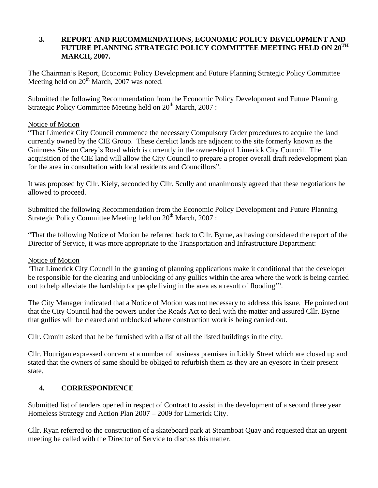#### **3. REPORT AND RECOMMENDATIONS, ECONOMIC POLICY DEVELOPMENT AND FUTURE PLANNING STRATEGIC POLICY COMMITTEE MEETING HELD ON 20TH MARCH, 2007.**

The Chairman's Report, Economic Policy Development and Future Planning Strategic Policy Committee Meeting held on  $20<sup>th</sup>$  March, 2007 was noted.

Submitted the following Recommendation from the Economic Policy Development and Future Planning Strategic Policy Committee Meeting held on  $20<sup>th</sup>$  March,  $2007$ :

#### Notice of Motion

"That Limerick City Council commence the necessary Compulsory Order procedures to acquire the land currently owned by the CIE Group. These derelict lands are adjacent to the site formerly known as the Guinness Site on Carey's Road which is currently in the ownership of Limerick City Council. The acquisition of the CIE land will allow the City Council to prepare a proper overall draft redevelopment plan for the area in consultation with local residents and Councillors".

It was proposed by Cllr. Kiely, seconded by Cllr. Scully and unanimously agreed that these negotiations be allowed to proceed.

Submitted the following Recommendation from the Economic Policy Development and Future Planning Strategic Policy Committee Meeting held on 20<sup>th</sup> March, 2007 :

"That the following Notice of Motion be referred back to Cllr. Byrne, as having considered the report of the Director of Service, it was more appropriate to the Transportation and Infrastructure Department:

#### Notice of Motion

'That Limerick City Council in the granting of planning applications make it conditional that the developer be responsible for the clearing and unblocking of any gullies within the area where the work is being carried out to help alleviate the hardship for people living in the area as a result of flooding'".

The City Manager indicated that a Notice of Motion was not necessary to address this issue. He pointed out that the City Council had the powers under the Roads Act to deal with the matter and assured Cllr. Byrne that gullies will be cleared and unblocked where construction work is being carried out.

Cllr. Cronin asked that he be furnished with a list of all the listed buildings in the city.

Cllr. Hourigan expressed concern at a number of business premises in Liddy Street which are closed up and stated that the owners of same should be obliged to refurbish them as they are an eyesore in their present state.

# **4. CORRESPONDENCE**

Submitted list of tenders opened in respect of Contract to assist in the development of a second three year Homeless Strategy and Action Plan 2007 – 2009 for Limerick City.

Cllr. Ryan referred to the construction of a skateboard park at Steamboat Quay and requested that an urgent meeting be called with the Director of Service to discuss this matter.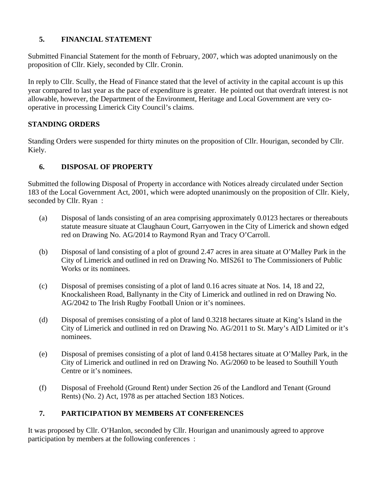# **5. FINANCIAL STATEMENT**

Submitted Financial Statement for the month of February, 2007, which was adopted unanimously on the proposition of Cllr. Kiely, seconded by Cllr. Cronin.

In reply to Cllr. Scully, the Head of Finance stated that the level of activity in the capital account is up this year compared to last year as the pace of expenditure is greater. He pointed out that overdraft interest is not allowable, however, the Department of the Environment, Heritage and Local Government are very cooperative in processing Limerick City Council's claims.

# **STANDING ORDERS**

Standing Orders were suspended for thirty minutes on the proposition of Cllr. Hourigan, seconded by Cllr. Kiely.

# **6. DISPOSAL OF PROPERTY**

Submitted the following Disposal of Property in accordance with Notices already circulated under Section 183 of the Local Government Act, 2001, which were adopted unanimously on the proposition of Cllr. Kiely, seconded by Cllr. Ryan :

- (a) Disposal of lands consisting of an area comprising approximately 0.0123 hectares or thereabouts statute measure situate at Claughaun Court, Garryowen in the City of Limerick and shown edged red on Drawing No. AG/2014 to Raymond Ryan and Tracy O'Carroll.
- (b) Disposal of land consisting of a plot of ground 2.47 acres in area situate at O'Malley Park in the City of Limerick and outlined in red on Drawing No. MIS261 to The Commissioners of Public Works or its nominees.
- (c) Disposal of premises consisting of a plot of land 0.16 acres situate at Nos. 14, 18 and 22, Knockalisheen Road, Ballynanty in the City of Limerick and outlined in red on Drawing No. AG/2042 to The Irish Rugby Football Union or it's nominees.
- (d) Disposal of premises consisting of a plot of land 0.3218 hectares situate at King's Island in the City of Limerick and outlined in red on Drawing No. AG/2011 to St. Mary's AID Limited or it's nominees.
- (e) Disposal of premises consisting of a plot of land 0.4158 hectares situate at O'Malley Park, in the City of Limerick and outlined in red on Drawing No. AG/2060 to be leased to Southill Youth Centre or it's nominees.
- (f) Disposal of Freehold (Ground Rent) under Section 26 of the Landlord and Tenant (Ground Rents) (No. 2) Act, 1978 as per attached Section 183 Notices.

# **7. PARTICIPATION BY MEMBERS AT CONFERENCES**

It was proposed by Cllr. O'Hanlon, seconded by Cllr. Hourigan and unanimously agreed to approve participation by members at the following conferences :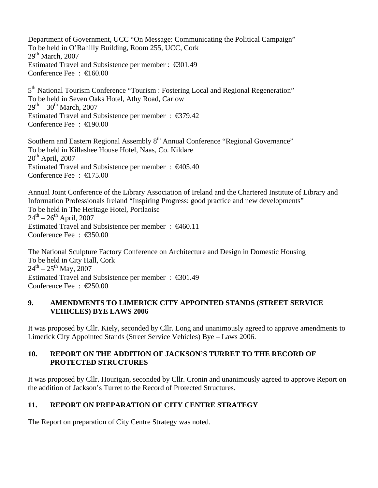Department of Government, UCC "On Message: Communicating the Political Campaign" To be held in O'Rahilly Building, Room 255, UCC, Cork  $29<sup>th</sup>$  March,  $2007$ Estimated Travel and Subsistence per member : €301.49 Conference Fee : €160.00 5<sup>th</sup> National Tourism Conference "Tourism : Fostering Local and Regional Regeneration"

To be held in Seven Oaks Hotel, Athy Road, Carlow  $29^{th} - 30^{th}$  March, 2007 Estimated Travel and Subsistence per member : €379.42 Conference Fee : €190.00

Southern and Eastern Regional Assembly 8<sup>th</sup> Annual Conference "Regional Governance" To be held in Killashee House Hotel, Naas, Co. Kildare  $20<sup>th</sup>$  April, 2007 Estimated Travel and Subsistence per member :  $\epsilon 405.40$ Conference Fee : €175.00

Annual Joint Conference of the Library Association of Ireland and the Chartered Institute of Library and Information Professionals Ireland "Inspiring Progress: good practice and new developments" To be held in The Heritage Hotel, Portlaoise  $24^{\text{th}} - 26^{\text{th}}$  April, 2007 Estimated Travel and Subsistence per member : €460.11 Conference Fee : €350.00

The National Sculpture Factory Conference on Architecture and Design in Domestic Housing To be held in City Hall, Cork  $24^{\text{th}} - 25^{\text{th}}$  May, 2007 Estimated Travel and Subsistence per member : €301.49 Conference Fee : €250.00

#### **9. AMENDMENTS TO LIMERICK CITY APPOINTED STANDS (STREET SERVICE VEHICLES) BYE LAWS 2006**

It was proposed by Cllr. Kiely, seconded by Cllr. Long and unanimously agreed to approve amendments to Limerick City Appointed Stands (Street Service Vehicles) Bye – Laws 2006.

### **10. REPORT ON THE ADDITION OF JACKSON'S TURRET TO THE RECORD OF PROTECTED STRUCTURES**

It was proposed by Cllr. Hourigan, seconded by Cllr. Cronin and unanimously agreed to approve Report on the addition of Jackson's Turret to the Record of Protected Structures.

# **11. REPORT ON PREPARATION OF CITY CENTRE STRATEGY**

The Report on preparation of City Centre Strategy was noted.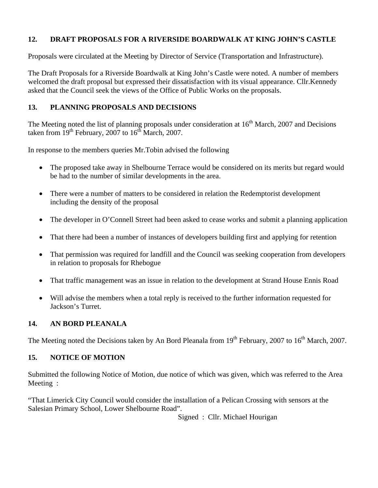# **12. DRAFT PROPOSALS FOR A RIVERSIDE BOARDWALK AT KING JOHN'S CASTLE**

Proposals were circulated at the Meeting by Director of Service (Transportation and Infrastructure).

The Draft Proposals for a Riverside Boardwalk at King John's Castle were noted. A number of members welcomed the draft proposal but expressed their dissatisfaction with its visual appearance. Cllr.Kennedy asked that the Council seek the views of the Office of Public Works on the proposals.

### **13. PLANNING PROPOSALS AND DECISIONS**

The Meeting noted the list of planning proposals under consideration at 16<sup>th</sup> March, 2007 and Decisions taken from  $19^{th}$  February, 2007 to  $16^{th}$  March, 2007.

In response to the members queries Mr.Tobin advised the following

- The proposed take away in Shelbourne Terrace would be considered on its merits but regard would be had to the number of similar developments in the area.
- There were a number of matters to be considered in relation the Redemptorist development including the density of the proposal
- The developer in O'Connell Street had been asked to cease works and submit a planning application
- That there had been a number of instances of developers building first and applying for retention
- That permission was required for landfill and the Council was seeking cooperation from developers in relation to proposals for Rhebogue
- That traffic management was an issue in relation to the development at Strand House Ennis Road
- Will advise the members when a total reply is received to the further information requested for Jackson's Turret.

# **14. AN BORD PLEANALA**

The Meeting noted the Decisions taken by An Bord Pleanala from  $19<sup>th</sup>$  February, 2007 to  $16<sup>th</sup>$  March, 2007.

#### **15. NOTICE OF MOTION**

Submitted the following Notice of Motion, due notice of which was given, which was referred to the Area Meeting :

"That Limerick City Council would consider the installation of a Pelican Crossing with sensors at the Salesian Primary School, Lower Shelbourne Road".

Signed : Cllr. Michael Hourigan